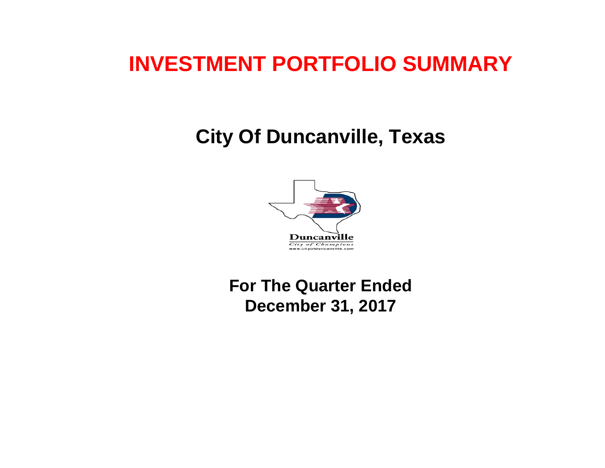# **INVESTMENT PORTFOLIO SUMMARY**

# **City Of Duncanville, Texas**



 **For The Quarter Ended December 31, 2017**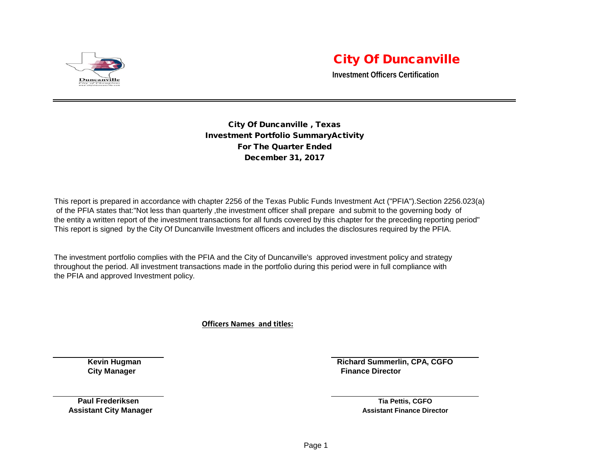

## City Of Duncanville

**Investment Officers Certification**

City Of Duncanville , Texas Investment Portfolio SummaryActivity For The Quarter Ended December 31, 2017

This report is prepared in accordance with chapter 2256 of the Texas Public Funds Investment Act ("PFIA").Section 2256.023(a) of the PFIA states that:"Not less than quarterly ,the investment officer shall prepare and submit to the governing body of the entity a written report of the investment transactions for all funds covered by this chapter for the preceding reporting period" This report is signed by the City Of Duncanville Investment officers and includes the disclosures required by the PFIA.

The investment portfolio complies with the PFIA and the City of Duncanville's approved investment policy and strategy throughout the period. All investment transactions made in the portfolio during this period were in full compliance with the PFIA and approved Investment policy.

**Officers Names and titles:**

**Kevin Hugman Richard Summerlin, CPA, CGFO City Manager Finance Director City Manager Acts and Service Acts and Service Acts and Service Acts and Service Acts and Service Acts and Service Acts and Service Acts and Service Acts and Service Acts and Service Acts and** 

**Paul Frederiksen Tia Pettis, CGFO Assistant City Manager Assistant Finance Director Assistant Finance Director Assistant Finance Director**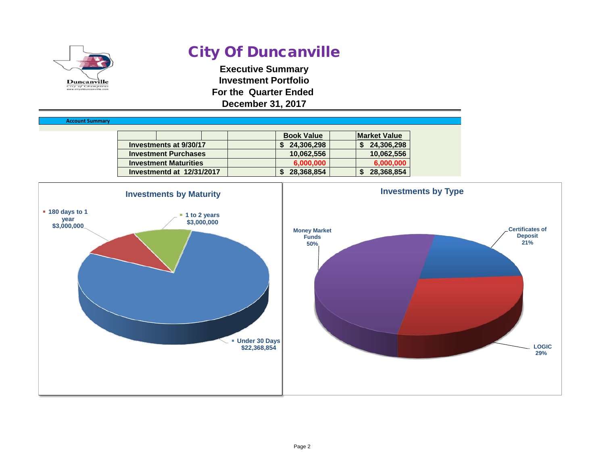

Accou

# City Of Duncanville

**Executive Summary Investment Portfolio For the Quarter Ended December 31, 2017**

| nt Summarv |                              |                   |                     |
|------------|------------------------------|-------------------|---------------------|
|            |                              | <b>Book Value</b> | <b>Market Value</b> |
|            | Investments at 9/30/17       | 24,306,298        | 24,306,298          |
|            | <b>Investment Purchases</b>  | 10,062,556        | 10,062,556          |
|            | <b>Investment Maturities</b> | 6,000,000         | 6,000,000           |
|            | Investmentd at 12/31/2017    | 28,368,854        | 28,368,854          |

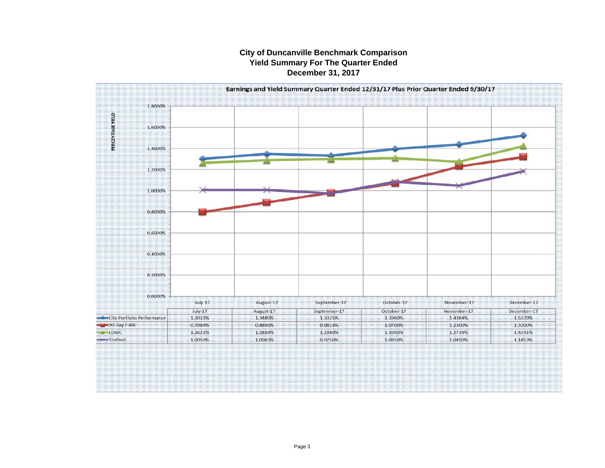#### **City of Duncanville Benchmark Comparison Yield Summary For The Quarter Ended December 31, 2017**

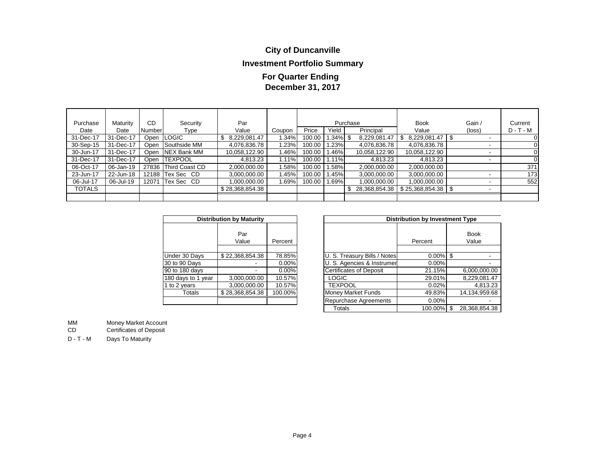## **City of Duncanville**

### **Investment Portfolio Summary**

### **December 31, 2017 For Quarter Ending**

| Purchase  | Maturity  | CD            | Security             | Par             |        |        |          | Purchase      | <b>Book</b>       | Gain /                   | Current     |
|-----------|-----------|---------------|----------------------|-----------------|--------|--------|----------|---------------|-------------------|--------------------------|-------------|
| Date      | Date      | <b>Number</b> | Type                 | Value           | Coupon | Price  | Yield    | Principal     | Value             | (loss)                   | $D - T - M$ |
| 31-Dec-17 | 31-Dec-17 |               | Open LOGIC           | 8,229,081.47    | 1.34%  | 100.00 | l.34% \$ | 8,229,081.47  | 8,229,081.47<br>S | $\overline{\phantom{a}}$ |             |
| 30-Sep-15 | 31-Dec-17 | Open          | Southside MM         | 4,076,836.78    | 1.23%  | 100.00 | 1.23%    | 4,076,836.78  | 4,076,836.78      | $\overline{\phantom{a}}$ |             |
| 30-Jun-17 | 31-Dec-17 |               | Open INEX Bank MM    | 10,058,122.90   | l.46%  | 100.00 | 1.46%    | 10,058,122.90 | 10,058,122.90     | $\overline{\phantom{a}}$ |             |
| 31-Dec-17 | 31-Dec-17 |               | Open ITEXPOOL        | 4,813.23        | 1.11%  | 100.00 | 1.11%    | 4,813.23      | 4,813.23          | $\overline{\phantom{a}}$ |             |
| 06-Oct-17 | 06-Jan-19 |               | 27836 Third Coast CD | 2,000,000.00    | .58%   | 100.00 | 1.58%    | 2,000,000.00  | 2,000,000.00      |                          | 371         |
| 23-Jun-17 | 22-Jun-18 |               | 12188 Tex Sec CD     | 3,000,000.00    | 1.45%  | 100.00 | 1.45%    | 3,000,000.00  | 3,000,000.00      |                          | 173         |
| 06-Jul-17 | 06-Jul-19 | 12071         | Tex Sec CD           | .000.000.00     | 1.69%  | 100.00 | 1.69%    | 1,000,000.00  | 1.000.000.00      |                          | 552         |
| TOTALS    |           |               |                      | \$28,368,854.38 |        |        |          | 28,368,854.38 | \$25,368,854.38   |                          |             |
|           |           |               |                      |                 |        |        |          |               |                   |                          |             |

|                    | <b>Distribution by Maturity</b> |         |  |  |  |  |  |  |  |  |  |  |
|--------------------|---------------------------------|---------|--|--|--|--|--|--|--|--|--|--|
|                    | Par<br>Value                    | Percent |  |  |  |  |  |  |  |  |  |  |
| Under 30 Days      | \$22,368,854.38                 | 78.85%  |  |  |  |  |  |  |  |  |  |  |
| 30 to 90 Days      |                                 | 0.00%   |  |  |  |  |  |  |  |  |  |  |
| 90 to 180 days     |                                 | 0.00%   |  |  |  |  |  |  |  |  |  |  |
| 180 days to 1 year | 3,000,000.00                    | 10.57%  |  |  |  |  |  |  |  |  |  |  |
| 1 to 2 years       | 3,000,000.00                    | 10.57%  |  |  |  |  |  |  |  |  |  |  |
| Totals             | \$28,368,854.38                 | 100.00% |  |  |  |  |  |  |  |  |  |  |
|                    |                                 |         |  |  |  |  |  |  |  |  |  |  |

|                    | <b>Distribution by Maturity</b> |          |                                | <b>Distribution by Investment Type</b> |                      |
|--------------------|---------------------------------|----------|--------------------------------|----------------------------------------|----------------------|
|                    | Par<br>Value                    | Percent  |                                | Percent                                | <b>Book</b><br>Value |
| Under 30 Days      | \$22,368,854.38                 | 78.85%l  | U. S. Treasury Bills / Notes   | $0.00\%$                               | \$                   |
| 30 to 90 Days      |                                 | $0.00\%$ | U. S. Agencies & Instrumer     | 0.00%                                  |                      |
| 90 to 180 days     |                                 | $0.00\%$ | <b>Certificates of Deposit</b> | 21.15%                                 | 6,000,000.00         |
| 180 days to 1 year | 3,000,000.00                    | 10.57%   | <b>LOGIC</b>                   | 29.01%                                 | 8,229,081.47         |
| 1 to 2 years       | 3,000,000.00                    | 10.57%   | <b>TEXPOOL</b>                 | 0.02%                                  | 4,813.23             |
| Totals             | \$28,368,854.38                 | 100.00%  | <b>Money Market Funds</b>      | 49.83%                                 | 14,134,959.68        |
|                    |                                 |          | Repurchase Agreements          | $0.00\%$                               |                      |
|                    |                                 |          | Totals                         | 100.00%                                | \$<br>28.368.854.38  |

MM Money Market Account<br>CD Certificates of Deposit

Certificates of Deposit

D - T - M Days To Maturity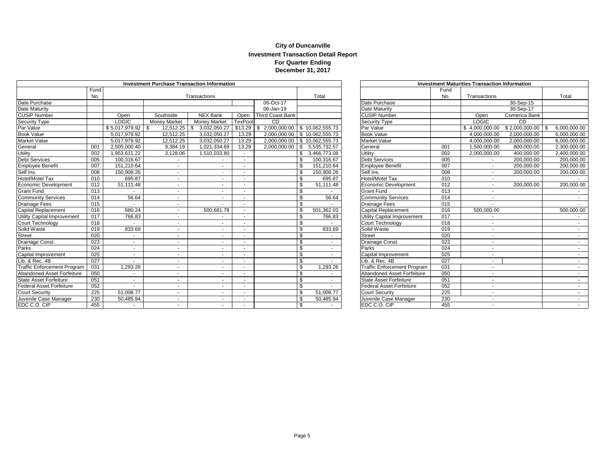#### **City of Duncanville Investment Transaction Detail Report For Quarter Ending December 31, 2017**

| <b>Investment Purchase Transaction Information</b> |      |                          |                     |                          |                          |                                     |     |                                 |  |                                    |                  | <b>Investment Maturities Transaction Information</b> |                         |                  |
|----------------------------------------------------|------|--------------------------|---------------------|--------------------------|--------------------------|-------------------------------------|-----|---------------------------------|--|------------------------------------|------------------|------------------------------------------------------|-------------------------|------------------|
|                                                    | Fund |                          |                     |                          |                          |                                     |     |                                 |  |                                    | Fund             |                                                      |                         |                  |
|                                                    | No.  |                          |                     | Transactions             |                          |                                     |     | Total                           |  |                                    | No.              | Transactions                                         |                         | Total            |
| Date Purchase                                      |      |                          |                     |                          |                          | 06-Oct-17                           |     |                                 |  | Date Purchase                      |                  |                                                      | $\overline{30}$ -Sep-15 |                  |
| Date Maturity                                      |      |                          |                     |                          |                          | 06-Jan-19                           |     |                                 |  | Date Maturity                      |                  |                                                      | 30-Sep-17               |                  |
| <b>CUSIP Number</b>                                |      | Open                     | Southside           | <b>NEX Bank</b>          | Open                     | <b>Third Coast Bank</b>             |     |                                 |  | <b>CUSIP Number</b>                |                  | Open                                                 | Comerica Bank           |                  |
| <b>Security Type</b>                               |      | <b>LOGIC</b>             | <b>Money Market</b> | <b>Money Market</b>      | <b>TexPoo</b>            | <b>CD</b>                           |     |                                 |  | Security Type                      |                  | <b>LOGIC</b>                                         | CD                      |                  |
| Par Value                                          |      | $$5,017,979.92$ \\$      | 12,512.25           | 3.032.050.27             | \$13.29                  | 2,000,000.00 \$ 10,062,555.73<br>-S |     |                                 |  | Par Value                          |                  | \$4.000.000.00                                       | \$2,000,000.00          | 6,000,000.00     |
| <b>Book Value</b>                                  |      | 5,017,979.92             | 12,512.25           | 3,032,050.27             | 13.29                    |                                     |     | 2,000,000.00 \$ 10,062,555.73   |  | <b>Book Value</b>                  |                  | 4.000.000.00                                         | 2,000,000.00            | 6,000,000.00     |
| <b>Market Value</b>                                |      | 5,017,979.92             | 12,512.25           | 3,032,050.27             | 13.29                    |                                     |     | 2,000,000.00   \$ 10,062,555.73 |  | Market Value                       |                  | 4,000,000.00                                         | 2,000,000.00            | 6,000,000.00     |
| General                                            | 001  | 2,505,000.40             | 9,384.19            | 1,021,334.69             | 13.29                    | $2,000,000.00$ \ \$                 |     | 5,535,732.57                    |  | General                            | 001              | 1.500.000.00                                         | 800,000.00              | 2,300,000.00     |
| Utility                                            | 002  | 1,953,611.22             | 3,128.06            | 1,510,033.80             | $\sim$                   |                                     | \$. | 3,466,773.08                    |  | Utility                            | 002              | 2,000,000.00                                         | 400,000.00              | 2,400,000.00     |
| <b>Debt Services</b>                               | 005  | 100,316.67               | $\sim$              |                          |                          |                                     |     | 100,316.67                      |  | <b>Debt Services</b>               | 005              |                                                      | 200,000.00              | 200,000.00       |
| <b>Employee Benefit</b>                            | 007  | 151,210.64               |                     |                          |                          |                                     | \$  | 151,210.64                      |  | <b>Employee Benefit</b>            | 007              |                                                      | 200,000.00              | 200,000.00       |
| Self Ins.                                          | 008  | 150,908.26               |                     | ٠                        |                          |                                     | \$  | 150,908.26                      |  | Self Ins.                          | 008              |                                                      | 200,000.00              | 200,000.00       |
| <b>Hotel/Motel Tax</b>                             | 010  | 695.87                   | $\sim$              | $\overline{\phantom{a}}$ | $\sim$                   |                                     | \$  | 695.87                          |  | <b>Hotel/Motel Tax</b>             | 010              |                                                      |                         |                  |
| Economic Development                               | 012  | 51,111.48                |                     |                          | $\sim$                   |                                     | \$  | 51,111.48                       |  | Economic Development               | 012              |                                                      | 200,000.00              | 200,000.00       |
| <b>Grant Fund</b>                                  | 013  |                          |                     |                          |                          |                                     | \$  |                                 |  | <b>Grant Fund</b>                  | 013              | $\sim$                                               |                         |                  |
| <b>Community Services</b>                          | 014  | 56.64                    | $\sim$              | $\sim$                   | $\overline{\phantom{a}}$ |                                     | \$  | 56.64                           |  | <b>Community Services</b>          | 014              | $\sim$                                               |                         |                  |
| <b>Drainage Fees</b>                               | 015  |                          | $\sim$              | $\sim$                   |                          |                                     | \$  |                                 |  | <b>Drainage Fees</b>               | 015              |                                                      |                         |                  |
| <b>Capital Replacement</b>                         | 016  | 680.24                   | $\sim$              | 500,681.78               | $\sim$                   |                                     | \$  | 501,362.03                      |  | Capital Replacement                | 016              | 500,000.00                                           |                         | 500,000.00       |
| Utility Capital Improvement                        | 017  | 766.83                   | $\sim$              |                          |                          |                                     |     | 766.83                          |  | Utility Capital Improvement        | 017              |                                                      |                         |                  |
| Court Technology                                   | 018  |                          | $\sim$              | $\sim$                   |                          |                                     | \$  |                                 |  | Court Technology                   | 018              |                                                      |                         |                  |
| Solid Waste                                        | 019  | 833.69                   | $\sim$              | $\sim$                   |                          |                                     | \$  | 833.69                          |  | Solid Waste                        | 019              |                                                      |                         | $\sim$           |
| <b>Street</b>                                      | 020  |                          | $\sim$              | $\sim$                   |                          |                                     | \$  |                                 |  | <b>Street</b>                      | $\overline{020}$ |                                                      |                         |                  |
| Drainage Const.                                    | 023  |                          |                     | ۰.                       |                          |                                     | \$  |                                 |  | Drainage Const.                    | 023              |                                                      |                         |                  |
| Parks                                              | 024  |                          |                     |                          |                          |                                     | \$  |                                 |  | Parks                              | 024              |                                                      |                         |                  |
| Capital Improvement                                | 025  | $\overline{\phantom{a}}$ | $\sim$              |                          | $\sim$                   |                                     | \$  |                                 |  | Capital Improvement                | 025              | $\overline{\phantom{a}}$                             |                         |                  |
| Lib. & Rec. 4B                                     | 027  |                          |                     |                          | $\sim$                   |                                     | \$  |                                 |  | Lib. & Rec. 4B                     | 027              |                                                      |                         |                  |
| <b>Traffic Enforcement Program</b>                 | 031  | 1,293.26                 | $\sim$              | $\overline{\phantom{a}}$ |                          |                                     | \$. | 1,293.26                        |  | <b>Traffic Enforcement Program</b> | 031              | $\overline{\phantom{a}}$                             |                         | $\sim$ 100 $\mu$ |
| Abandoned Asset Forfeiture                         | 050  |                          |                     | ۰                        |                          |                                     | \$  |                                 |  | Abandoned Asset Forfeiture         | 050              | $\overline{\phantom{a}}$                             |                         | $\sim$           |
| State Asset Forfeiture                             | 051  |                          | $\sim$              | $\sim$                   |                          |                                     | \$  |                                 |  | <b>State Asset Forfeiture</b>      | 051              | $\overline{\phantom{a}}$                             |                         | $\sim$           |
| <b>Federal Asset Forfeiture</b>                    | 052  | $\mathbf{r}$             | $\sim$              | $\sim$                   | $\sim$                   |                                     | \$. |                                 |  | <b>Federal Asset Forfeiture</b>    | 052              | $\mathbf{r}$                                         |                         |                  |
| <b>Court Security</b>                              | 225  | 51,008.77                | $\sim$              | $\sim$                   | $\sim$                   |                                     | \$  | 51,008.77                       |  | <b>Court Security</b>              | 225              |                                                      |                         |                  |
| Juvenile Case Manager                              | 230  | 50,485.94                | $\sim$              |                          |                          |                                     | \$  | 50,485.94                       |  | Juvenile Case Manager              | 230              |                                                      |                         |                  |
| EDC C.O. CIP                                       | 455  |                          | $\sim$              |                          |                          |                                     | \$  |                                 |  | EDC C.O. CIP                       | 455              |                                                      |                         | $\sim$           |

| <b>Investment Maturities Transaction Information</b> |      |                |                |                    |  |  |  |  |  |  |  |
|------------------------------------------------------|------|----------------|----------------|--------------------|--|--|--|--|--|--|--|
|                                                      | Fund |                |                |                    |  |  |  |  |  |  |  |
|                                                      | No.  | Transactions   |                | Total              |  |  |  |  |  |  |  |
| Date Purchase                                        |      |                | 30-Sep-15      |                    |  |  |  |  |  |  |  |
| Date Maturity                                        |      |                | 30-Sep-17      |                    |  |  |  |  |  |  |  |
| <b>CUSIP Number</b>                                  |      | Open           | Comerica Bank  |                    |  |  |  |  |  |  |  |
| <b>Security Type</b>                                 |      | <b>LOGIC</b>   | CD             |                    |  |  |  |  |  |  |  |
| Par Value                                            |      | \$4,000,000.00 | \$2,000,000.00 | \$<br>6,000,000.00 |  |  |  |  |  |  |  |
| <b>Book Value</b>                                    |      | 4,000,000.00   | 2,000,000.00   | 6,000,000.00       |  |  |  |  |  |  |  |
| Market Value                                         |      | 4,000,000.00   | 2,000,000.00   | 6,000,000.00       |  |  |  |  |  |  |  |
| General                                              | 001  | 1,500,000.00   | 800,000.00     | 2,300,000.00       |  |  |  |  |  |  |  |
| Utility                                              | 002  | 2,000,000.00   | 400,000.00     | 2,400,000.00       |  |  |  |  |  |  |  |
| <b>Debt Services</b>                                 | 005  |                | 200,000.00     | 200,000.00         |  |  |  |  |  |  |  |
| <b>Employee Benefit</b>                              | 007  | ÷,             | 200,000.00     | 200,000.00         |  |  |  |  |  |  |  |
| Self Ins.                                            | 008  | $\frac{1}{2}$  | 200,000.00     | 200,000.00         |  |  |  |  |  |  |  |
| Hotel/Motel Tax                                      | 010  | ÷,             |                |                    |  |  |  |  |  |  |  |
| Economic Development                                 | 012  | ٠              | 200,000.00     | 200,000.00         |  |  |  |  |  |  |  |
| <b>Grant Fund</b>                                    | 013  | ä,             |                |                    |  |  |  |  |  |  |  |
| <b>Community Services</b>                            | 014  |                |                |                    |  |  |  |  |  |  |  |
| Drainage Fees                                        | 015  |                |                |                    |  |  |  |  |  |  |  |
| <b>Capital Replacement</b>                           | 016  | 500,000.00     |                | 500,000.00         |  |  |  |  |  |  |  |
| Utility Capital Improvement                          | 017  |                |                |                    |  |  |  |  |  |  |  |
| Court Technology                                     | 018  | ÷,             |                |                    |  |  |  |  |  |  |  |
| Solid Waste                                          | 019  |                |                |                    |  |  |  |  |  |  |  |
| <b>Street</b>                                        | 020  | ÷,             |                | ٠                  |  |  |  |  |  |  |  |
| Drainage Const.                                      | 023  | ä,             |                | ٠                  |  |  |  |  |  |  |  |
| Parks                                                | 024  | ÷,             |                |                    |  |  |  |  |  |  |  |
| Capital Improvement                                  | 025  | ٠              |                |                    |  |  |  |  |  |  |  |
| Lib. & Rec. 4B                                       | 027  | ÷,             |                |                    |  |  |  |  |  |  |  |
| <b>Traffic Enforcement Program</b>                   | 031  | -              |                |                    |  |  |  |  |  |  |  |
| Abandoned Asset Forfeiture                           | 050  | ä,             |                |                    |  |  |  |  |  |  |  |
| <b>State Asset Forfeiture</b>                        | 051  | ä,             |                |                    |  |  |  |  |  |  |  |
| <b>Federal Asset Forfeiture</b>                      | 052  | ٠              |                |                    |  |  |  |  |  |  |  |
| <b>Court Security</b>                                | 225  | -              |                |                    |  |  |  |  |  |  |  |
| Juvenile Case Manager                                | 230  | ٠              |                |                    |  |  |  |  |  |  |  |
| <b>EDCCO CIP</b>                                     | 455  | -              |                |                    |  |  |  |  |  |  |  |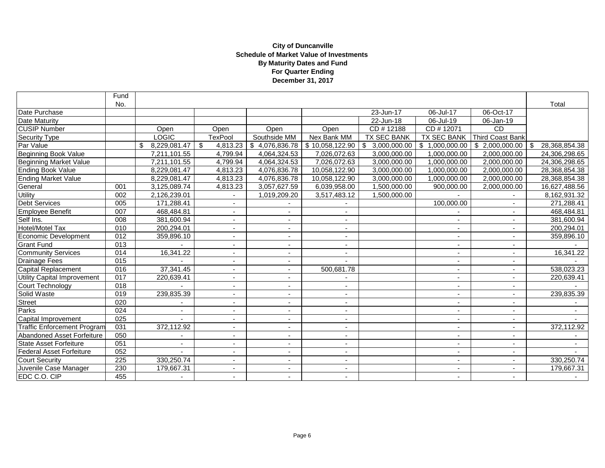#### **City of Duncanville Schedule of Market Value of Investments By Maturity Dates and Fund For Quarter Ending December 31, 2017**

|                                    | Fund             |                    |                          |                          |                          |                    |                          |                          |                     |
|------------------------------------|------------------|--------------------|--------------------------|--------------------------|--------------------------|--------------------|--------------------------|--------------------------|---------------------|
|                                    | No.              |                    |                          |                          |                          |                    |                          |                          | Total               |
| Date Purchase                      |                  |                    |                          |                          |                          | 23-Jun-17          | 06-Jul-17                | 06-Oct-17                |                     |
| <b>Date Maturity</b>               |                  |                    |                          |                          |                          | 22-Jun-18          | 06-Jul-19                | 06-Jan-19                |                     |
| <b>CUSIP Number</b>                |                  | Open               | Open                     | Open                     | Open                     | CD #12188          | CD #12071                | <b>CD</b>                |                     |
| <b>Security Type</b>               |                  | LOGIC              | <b>TexPool</b>           | Southside MM             | Nex Bank MM              | <b>TX SEC BANK</b> | <b>TX SEC BANK</b>       | Third Coast Bank         |                     |
| Par Value                          |                  | 8,229,081.47<br>\$ | \$<br>4,813.23           | \$4,076,836.78           | \$10,058,122.90          | \$3,000,000.00     | \$1,000,000.00           | \$2,000,000.00           | \$<br>28,368,854.38 |
| Beginning Book Value               |                  | 7,211,101.55       | 4,799.94                 | 4,064,324.53             | 7,026,072.63             | 3,000,000.00       | 1,000,000.00             | 2,000,000.00             | 24,306,298.65       |
| <b>Beginning Market Value</b>      |                  | 7,211,101.55       | 4,799.94                 | 4,064,324.53             | 7,026,072.63             | 3,000,000.00       | 1,000,000.00             | 2,000,000.00             | 24,306,298.65       |
| Ending Book Value                  |                  | 8,229,081.47       | 4,813.23                 | 4,076,836.78             | 10,058,122.90            | 3,000,000.00       | 1,000,000.00             | 2,000,000.00             | 28,368,854.38       |
| <b>Ending Market Value</b>         |                  | 8,229,081.47       | 4,813.23                 | 4,076,836.78             | 10.058.122.90            | 3,000,000.00       | 1.000.000.00             | 2,000,000.00             | 28,368,854.38       |
| General                            | 001              | 3,125,089.74       | 4,813.23                 | 3,057,627.59             | 6,039,958.00             | 1,500,000.00       | 900,000.00               | 2,000,000.00             | 16,627,488.56       |
| <b>Utility</b>                     | 002              | 2,126,239.01       |                          | 1,019,209.20             | 3,517,483.12             | 1,500,000.00       |                          |                          | 8,162,931.32        |
| <b>Debt Services</b>               | 005              | 171,288.41         | $\overline{\phantom{a}}$ |                          |                          |                    | 100,000.00               |                          | 271,288.41          |
| Employee Benefit                   | 007              | 468,484.81         | $\overline{\phantom{0}}$ | $\overline{\phantom{a}}$ | $\overline{a}$           |                    |                          | $\overline{\phantom{a}}$ | 468,484.81          |
| Self Ins.                          | 008              | 381,600.94         | $\blacksquare$           | ä,                       |                          |                    | ä,                       |                          | 381,600.94          |
| Hotel/Motel Tax                    | 010              | 200,294.01         | ٠                        | $\overline{\phantom{a}}$ |                          |                    |                          |                          | 200,294.01          |
| Economic Development               | $\overline{012}$ | 359,896.10         | $\overline{\phantom{a}}$ | $\overline{\phantom{a}}$ | $\overline{\phantom{a}}$ |                    | $\blacksquare$           |                          | 359,896.10          |
| <b>Grant Fund</b>                  | 013              |                    | $\blacksquare$           | $\overline{\phantom{a}}$ | $\overline{\phantom{a}}$ |                    | $\blacksquare$           |                          |                     |
| <b>Community Services</b>          | 014              | 16,341.22          | ٠                        | ٠                        |                          |                    |                          |                          | 16,341.22           |
| <b>Drainage Fees</b>               | 015              |                    | $\blacksquare$           | $\blacksquare$           |                          |                    | $\blacksquare$           |                          |                     |
| <b>Capital Replacement</b>         | 016              | 37,341.45          | $\sim$                   | ÷                        | 500,681.78               |                    | $\overline{\phantom{a}}$ | $\overline{\phantom{a}}$ | 538,023.23          |
| <b>Utility Capital Improvement</b> | 017              | 220,639.41         | ٠                        | $\overline{\phantom{a}}$ |                          |                    |                          |                          | 220,639.41          |
| Court Technology                   | 018              |                    | ٠                        | $\blacksquare$           |                          |                    |                          | $\blacksquare$           |                     |
| Solid Waste                        | 019              | 239,835.39         | $\overline{\phantom{a}}$ | ٠                        |                          |                    |                          |                          | 239,835.39          |
| <b>Street</b>                      | 020              |                    | $\overline{\phantom{a}}$ | $\overline{\phantom{a}}$ | $\sim$                   |                    | $\blacksquare$           |                          |                     |
| Parks                              | $\overline{024}$ | ä,                 | ٠                        | $\blacksquare$           |                          |                    | $\blacksquare$           |                          |                     |
| Capital Improvement                | 025              |                    | ٠                        | ٠                        |                          |                    | $\blacksquare$           |                          |                     |
| <b>Traffic Enforcement Program</b> | 031              | 372,112.92         | $\sim$                   | $\overline{\phantom{a}}$ | $\sim$                   |                    | $\overline{\phantom{a}}$ | $\overline{\phantom{a}}$ | 372,112.92          |
| Abandoned Asset Forfeiture         | 050              |                    | $\blacksquare$           | ÷                        | $\overline{a}$           |                    | $\overline{a}$           | $\overline{\phantom{a}}$ |                     |
| <b>State Asset Forfeiture</b>      | 051              |                    | $\overline{\phantom{a}}$ | ÷,                       |                          |                    | ÷,                       |                          |                     |
| <b>Federal Asset Forfeiture</b>    | 052              |                    |                          | $\overline{\phantom{a}}$ |                          |                    | ٠                        |                          |                     |
| <b>Court Security</b>              | 225              | 330,250.74         | $\sim$                   | $\overline{\phantom{a}}$ | ۰.                       |                    | $\overline{\phantom{a}}$ | $\overline{\phantom{a}}$ | 330,250.74          |
| Juvenile Case Manager              | 230              | 179,667.31         | ٠                        | ٠                        | $\sim$                   |                    | $\blacksquare$           |                          | 179,667.31          |
| EDC C.O. CIP                       | 455              |                    |                          | $\blacksquare$           |                          |                    |                          |                          |                     |